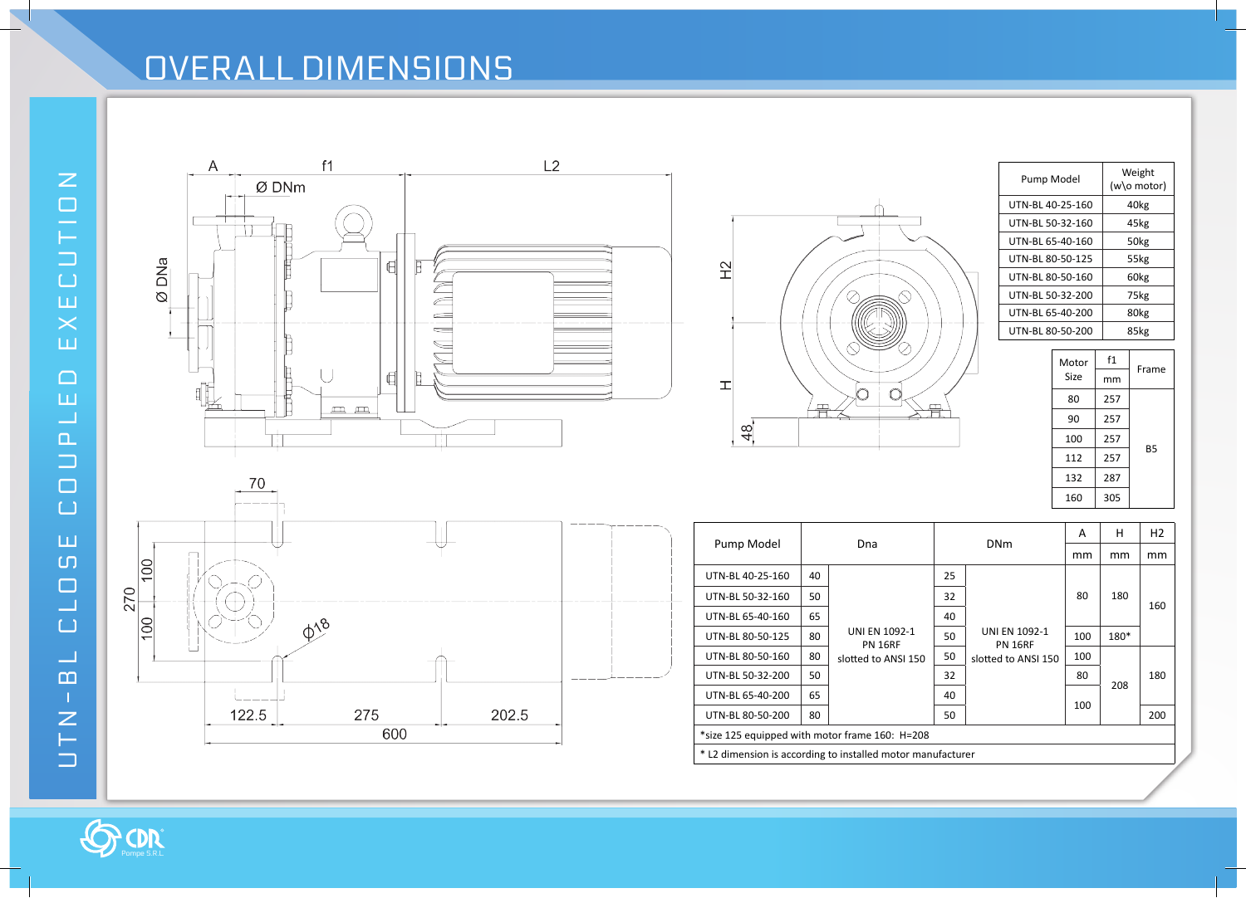## OVERALL DIMENSIONS

70







| Pump Model       | Weight<br>(w\o motor) |
|------------------|-----------------------|
| UTN-BL 40-25-160 | 40kg                  |
| UTN-BL 50-32-160 | 45kg                  |
| UTN-BL 65-40-160 | 50 <sub>kg</sub>      |
| UTN-BL 80-50-125 | 55kg                  |
| UTN-BL 80-50-160 | 60 <sub>kg</sub>      |
| UTN-BL 50-32-200 | 75kg                  |
| UTN-BL 65-40-200 | 80 <sub>kg</sub>      |
| UTN-BL 80-50-200 | 85kg                  |

| Motor | f1  | Frame     |
|-------|-----|-----------|
| Size  | mm  |           |
| 80    | 257 |           |
| 90    | 257 |           |
| 100   | 257 |           |
| 112   | 257 | <b>B5</b> |
| 132   | 287 |           |
| 160   | 305 |           |
|       |     |           |



|                                                             |    |                                 |    |                                        | А   | н    | H <sub>2</sub> |  |  |  |
|-------------------------------------------------------------|----|---------------------------------|----|----------------------------------------|-----|------|----------------|--|--|--|
| Pump Model                                                  |    | Dna                             |    | <b>DNm</b>                             | mm  | mm   | mm             |  |  |  |
| UTN-BL 40-25-160                                            | 40 |                                 | 25 |                                        | 80  | 180  | 160            |  |  |  |
| UTN-BL 50-32-160                                            | 50 |                                 | 32 |                                        |     |      |                |  |  |  |
| UTN-BL 65-40-160                                            | 65 |                                 | 40 |                                        |     |      |                |  |  |  |
| UTN-BL 80-50-125                                            | 80 | UNI EN 1092-1<br><b>PN 16RF</b> | 50 | <b>UNI EN 1092-1</b><br><b>PN 16RF</b> | 100 | 180* |                |  |  |  |
| UTN-BL 80-50-160                                            | 80 | slotted to ANSI 150             | 50 | slotted to ANSI 150                    | 100 | 208  | 180            |  |  |  |
| UTN-BL 50-32-200                                            | 50 |                                 | 32 |                                        | 80  |      |                |  |  |  |
| UTN-BL 65-40-200                                            | 65 |                                 | 40 |                                        |     |      |                |  |  |  |
| UTN-BL 80-50-200                                            | 80 |                                 | 50 |                                        | 100 |      | 200            |  |  |  |
| *size 125 equipped with motor frame 160: H=208              |    |                                 |    |                                        |     |      |                |  |  |  |
| * L2 dimension is according to installed motor manufacturer |    |                                 |    |                                        |     |      |                |  |  |  |

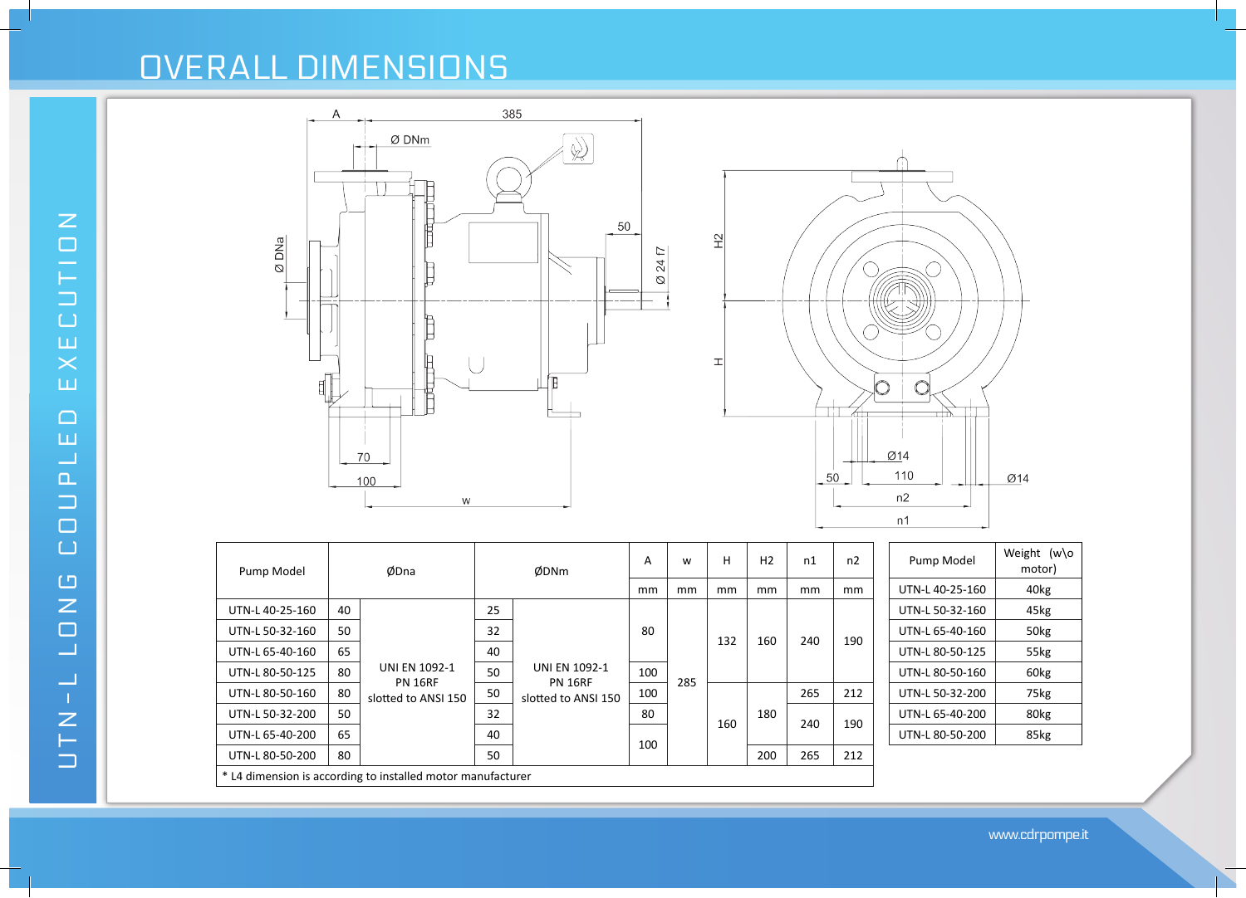## OVERALL DIMENSIONS



100

160

180

240 190

slotted to ANSI 150

UTN-L 80-50-200 80  $\begin{vmatrix} 50 \\ 212 \end{vmatrix}$  50  $\begin{vmatrix} 100 \\ 200 \end{vmatrix}$  265 212

 $UTN-L 50-32-200$  50 32 32

 $UTN-L 65-40-200$  65

\* L4 dimension is according to installed motor manufacturer

**XECUTION** UTN-L LONG COUPLED EXECUTIONய  $\Box$ ш  $\overline{\phantom{0}}$  $\Box$  $\Box$  $\Box$  $\Box$  $\Box$  $\overline{z}$  $\Box$  $\Box$  $\Box$  $U T N -$ 

www.cdrpompe.it

 $UTN-L 65-40-200$  80kg

UTN-L 80-50-200 | 85kg